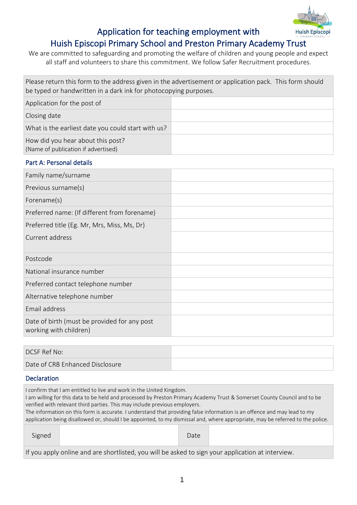

# Application for teaching employment with Huish Episcopi Primary School and Preston Primary Academy Trust

We are committed to safeguarding and promoting the welfare of children and young people and expect all staff and volunteers to share this commitment. We follow Safer Recruitment procedures.

| Please return this form to the address given in the advertisement or application pack. This form should<br>be typed or handwritten in a dark ink for photocopying purposes. |  |  |
|-----------------------------------------------------------------------------------------------------------------------------------------------------------------------------|--|--|
| Application for the post of                                                                                                                                                 |  |  |
| Closing date                                                                                                                                                                |  |  |
| What is the earliest date you could start with us?                                                                                                                          |  |  |
| How did you hear about this post?<br>(Name of publication if advertised)                                                                                                    |  |  |

# Part A: Personal details Family name/surname Previous surname(s) Forename(s) Preferred name: (If different from forename) Preferred title (Eg. Mr, Mrs, Miss, Ms, Dr) Current address Postcode National insurance number Preferred contact telephone number Alternative telephone number Email address Date of birth (must be provided for any post working with children)

| DCSF Ref No:                    |  |
|---------------------------------|--|
| Date of CRB Enhanced Disclosure |  |

## Declaration

I confirm that I am entitled to live and work in the United Kingdom.

I am willing for this data to be held and processed by Preston Primary Academy Trust & Somerset County Council and to be verified with relevant third parties. This may include previous employers.

The information on this form is accurate. I understand that providing false information is an offence and may lead to my application being disallowed or, should I be appointed, to my dismissal and, where appropriate, may be referred to the police.

| $-22$ |      |  |
|-------|------|--|
| .     | Ducc |  |

If you apply online and are shortlisted, you will be asked to sign your application at interview.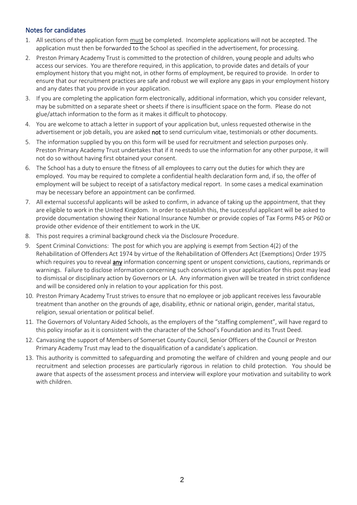# Notes for candidates

- 1. All sections of the application form must be completed. Incomplete applications will not be accepted. The application must then be forwarded to the School as specified in the advertisement, for processing.
- 2. Preston Primary Academy Trust is committed to the protection of children, young people and adults who access our services. You are therefore required, in this application, to provide dates and details of your employment history that you might not, in other forms of employment, be required to provide. In order to ensure that our recruitment practices are safe and robust we will explore any gaps in your employment history and any dates that you provide in your application.
- 3. If you are completing the application form electronically, additional information, which you consider relevant, may be submitted on a separate sheet or sheets if there is insufficient space on the form. Please do not glue/attach information to the form as it makes it difficult to photocopy.
- 4. You are welcome to attach a letter in support of your application but, unless requested otherwise in the advertisement or job details, you are asked not to send curriculum vitae, testimonials or other documents.
- 5. The information supplied by you on this form will be used for recruitment and selection purposes only. Preston Primary Academy Trust undertakes that if it needs to use the information for any other purpose, it will not do so without having first obtained your consent.
- 6. The School has a duty to ensure the fitness of all employees to carry out the duties for which they are employed. You may be required to complete a confidential health declaration form and, if so, the offer of employment will be subject to receipt of a satisfactory medical report. In some cases a medical examination may be necessary before an appointment can be confirmed.
- 7. All external successful applicants will be asked to confirm, in advance of taking up the appointment, that they are eligible to work in the United Kingdom. In order to establish this, the successful applicant will be asked to provide documentation showing their National Insurance Number or provide copies of Tax Forms P45 or P60 or provide other evidence of their entitlement to work in the UK.
- 8. This post requires a criminal background check via the Disclosure Procedure.
- 9. Spent Criminal Convictions: The post for which you are applying is exempt from Section 4(2) of the Rehabilitation of Offenders Act 1974 by virtue of the Rehabilitation of Offenders Act (Exemptions) Order 1975 which requires you to reveal **any** information concerning spent or unspent convictions, cautions, reprimands or warnings. Failure to disclose information concerning such convictions in your application for this post may lead to dismissal or disciplinary action by Governors or LA. Any information given will be treated in strict confidence and will be considered only in relation to your application for this post.
- 10. Preston Primary Academy Trust strives to ensure that no employee or job applicant receives less favourable treatment than another on the grounds of age, disability, ethnic or national origin, gender, marital status, religion, sexual orientation or political belief.
- 11. The Governors of Voluntary Aided Schools, as the employers of the "staffing complement", will have regard to this policy insofar as it is consistent with the character of the School's Foundation and its Trust Deed.
- 12. Canvassing the support of Members of Somerset County Council, Senior Officers of the Council or Preston Primary Academy Trust may lead to the disqualification of a candidate's application.
- 13. This authority is committed to safeguarding and promoting the welfare of children and young people and our recruitment and selection processes are particularly rigorous in relation to child protection. You should be aware that aspects of the assessment process and interview will explore your motivation and suitability to work with children.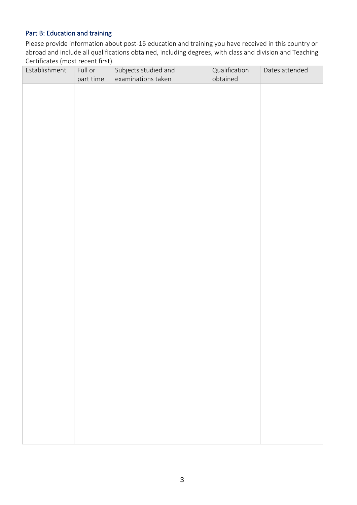# Part B: Education and training

Please provide information about post-16 education and training you have received in this country or abroad and include all qualifications obtained, including degrees, with class and division and Teaching Certificates (most recent first).

| Establishment | Full or<br>part time | Subjects studied and<br>examinations taken | Qualification<br>obtained | Dates attended |
|---------------|----------------------|--------------------------------------------|---------------------------|----------------|
|               |                      |                                            |                           |                |
|               |                      |                                            |                           |                |
|               |                      |                                            |                           |                |
|               |                      |                                            |                           |                |
|               |                      |                                            |                           |                |
|               |                      |                                            |                           |                |
|               |                      |                                            |                           |                |
|               |                      |                                            |                           |                |
|               |                      |                                            |                           |                |
|               |                      |                                            |                           |                |
|               |                      |                                            |                           |                |
|               |                      |                                            |                           |                |
|               |                      |                                            |                           |                |
|               |                      |                                            |                           |                |
|               |                      |                                            |                           |                |
|               |                      |                                            |                           |                |
|               |                      |                                            |                           |                |
|               |                      |                                            |                           |                |
|               |                      |                                            |                           |                |
|               |                      |                                            |                           |                |
|               |                      |                                            |                           |                |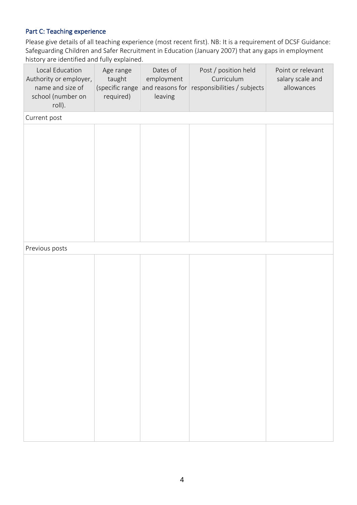# Part C: Teaching experience

Please give details of all teaching experience (most recent first). NB: It is a requirement of DCSF Guidance: Safeguarding Children and Safer Recruitment in Education (January 2007) that any gaps in employment history are identified and fully explained.

| Local Education<br>Authority or employer,<br>name and size of<br>school (number on<br>roll). | Age range<br>taught<br>(specific range<br>required) | Dates of<br>employment<br>and reasons for<br>leaving | Post / position held<br>Curriculum<br>responsibilities / subjects | Point or relevant<br>salary scale and<br>allowances |
|----------------------------------------------------------------------------------------------|-----------------------------------------------------|------------------------------------------------------|-------------------------------------------------------------------|-----------------------------------------------------|
| Current post                                                                                 |                                                     |                                                      |                                                                   |                                                     |
|                                                                                              |                                                     |                                                      |                                                                   |                                                     |
|                                                                                              |                                                     |                                                      |                                                                   |                                                     |
| Previous posts                                                                               |                                                     |                                                      |                                                                   |                                                     |
|                                                                                              |                                                     |                                                      |                                                                   |                                                     |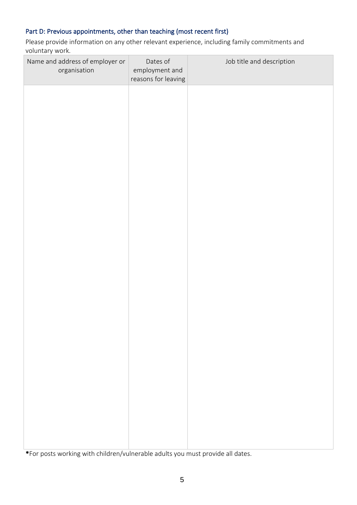# Part D: Previous appointments, other than teaching (most recent first)

Please provide information on any other relevant experience, including family commitments and voluntary work.

| Name and address of employer or<br>organisation | Dates of<br>employment and<br>reasons for leaving | Job title and description |
|-------------------------------------------------|---------------------------------------------------|---------------------------|
|                                                 |                                                   |                           |
|                                                 |                                                   |                           |
|                                                 |                                                   |                           |
|                                                 |                                                   |                           |
|                                                 |                                                   |                           |
|                                                 |                                                   |                           |
|                                                 |                                                   |                           |
|                                                 |                                                   |                           |
|                                                 |                                                   |                           |
|                                                 |                                                   |                           |
|                                                 |                                                   |                           |
|                                                 |                                                   |                           |

\*For posts working with children/vulnerable adults you must provide all dates.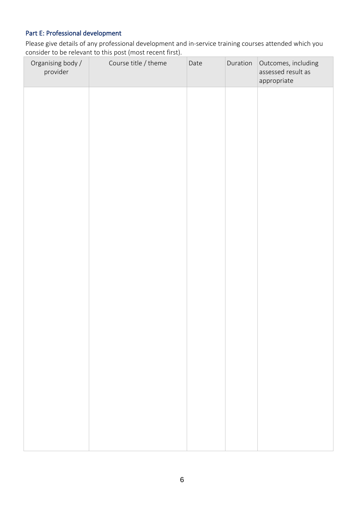# Part E: Professional development

Please give details of any professional development and in-service training courses attended which you consider to be relevant to this post (most recent first).

| Organising body /<br>provider | Course title / theme | Date | Duration | Outcomes, including<br>assessed result as<br>appropriate |
|-------------------------------|----------------------|------|----------|----------------------------------------------------------|
|                               |                      |      |          |                                                          |
|                               |                      |      |          |                                                          |
|                               |                      |      |          |                                                          |
|                               |                      |      |          |                                                          |
|                               |                      |      |          |                                                          |
|                               |                      |      |          |                                                          |
|                               |                      |      |          |                                                          |
|                               |                      |      |          |                                                          |
|                               |                      |      |          |                                                          |
|                               |                      |      |          |                                                          |
|                               |                      |      |          |                                                          |
|                               |                      |      |          |                                                          |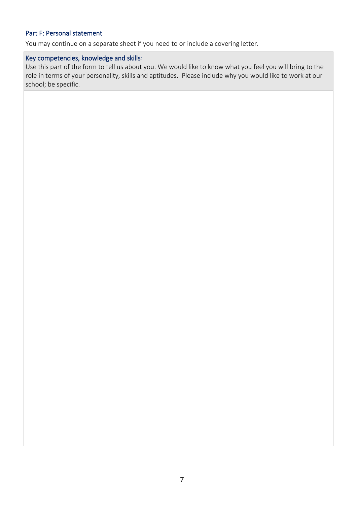# Part F: Personal statement

You may continue on a separate sheet if you need to or include a covering letter.

#### Key competencies, knowledge and skills:

Use this part of the form to tell us about you. We would like to know what you feel you will bring to the role in terms of your personality, skills and aptitudes. Please include why you would like to work at our school; be specific.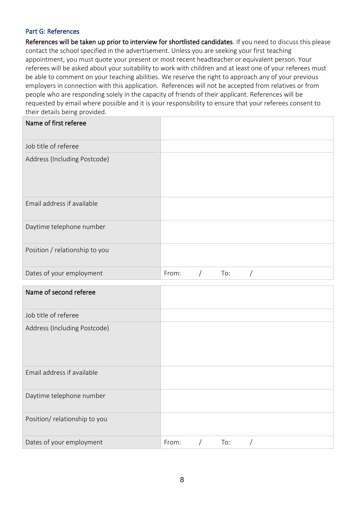#### Part G: References

Daytime telephone number

Position/ relationship to you

References will be taken up prior to interview for shortlisted candidates. If you need to discuss this please contact the school specified in the advertisement. Unless you are seeking your first teaching appointment, you must quote your present or most recent headteacher or equivalent person. Your referees will be asked about your suitability to work with children and at least one of your referees must be able to comment on your teaching abilities. We reserve the right to approach any of your previous employers in connection with this application. References will not be accepted from relatives or from people who are responding solely in the capacity of friends of their applicant. References will be requested by email where possible and it is your responsibility to ensure that your referees consent to their details being provided.

| Name of first referee          |                          |
|--------------------------------|--------------------------|
| Job title of referee           |                          |
| Address (Including Postcode)   |                          |
| Email address if available     |                          |
| Daytime telephone number       |                          |
| Position / relationship to you |                          |
| Dates of your employment       | From:<br>To:<br>$\prime$ |
| Name of second referee         |                          |
| Job title of referee           |                          |
| Address (Including Postcode)   |                          |
| Email address if available     |                          |

Dates of your employment From: / To: /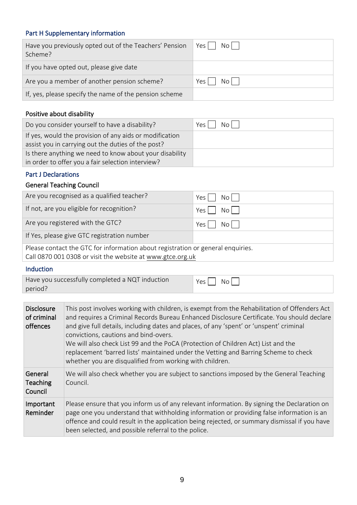# Part H Supplementary information

| Have you previously opted out of the Teachers' Pension<br>Scheme? | Yes l<br>$No$ |
|-------------------------------------------------------------------|---------------|
| If you have opted out, please give date                           |               |
| Are you a member of another pension scheme?                       | No l<br>Yes   |
| If, yes, please specify the name of the pension scheme            |               |

## Positive about disability

| Do you consider yourself to have a disability?                                                                | Yes<br>No <sub>1</sub> |
|---------------------------------------------------------------------------------------------------------------|------------------------|
| If yes, would the provision of any aids or modification<br>assist you in carrying out the duties of the post? |                        |
| Is there anything we need to know about your disability<br>in order to offer you a fair selection interview?  |                        |

# Part J Declarations

# General Teaching Council

| Are you recognised as a qualified teacher?                                                                                                    | $No$    <br>Yes |  |
|-----------------------------------------------------------------------------------------------------------------------------------------------|-----------------|--|
| If not, are you eligible for recognition?                                                                                                     | No<br>Yes I     |  |
| Are you registered with the GTC?                                                                                                              | $No$    <br>Yes |  |
| If Yes, please give GTC registration number                                                                                                   |                 |  |
| Please contact the GTC for information about registration or general enquiries.<br>Call 0870 001 0308 or visit the website at www.gtce.org.uk |                 |  |

## Induction

| Have you successfully completed a NQT induction | Yes l<br>$N$ o I |
|-------------------------------------------------|------------------|
| period?                                         |                  |

| <b>Disclosure</b><br>of criminal<br>offences | This post involves working with children, is exempt from the Rehabilitation of Offenders Act<br>and requires a Criminal Records Bureau Enhanced Disclosure Certificate. You should declare<br>and give full details, including dates and places, of any 'spent' or 'unspent' criminal<br>convictions, cautions and bind-overs.<br>We will also check List 99 and the PoCA (Protection of Children Act) List and the<br>replacement 'barred lists' maintained under the Vetting and Barring Scheme to check<br>whether you are disqualified from working with children. |
|----------------------------------------------|------------------------------------------------------------------------------------------------------------------------------------------------------------------------------------------------------------------------------------------------------------------------------------------------------------------------------------------------------------------------------------------------------------------------------------------------------------------------------------------------------------------------------------------------------------------------|
| General<br>Teaching<br>Council               | We will also check whether you are subject to sanctions imposed by the General Teaching<br>Council.                                                                                                                                                                                                                                                                                                                                                                                                                                                                    |
| Important<br>Reminder                        | Please ensure that you inform us of any relevant information. By signing the Declaration on<br>page one you understand that withholding information or providing false information is an<br>offence and could result in the application being rejected, or summary dismissal if you have<br>been selected, and possible referral to the police.                                                                                                                                                                                                                        |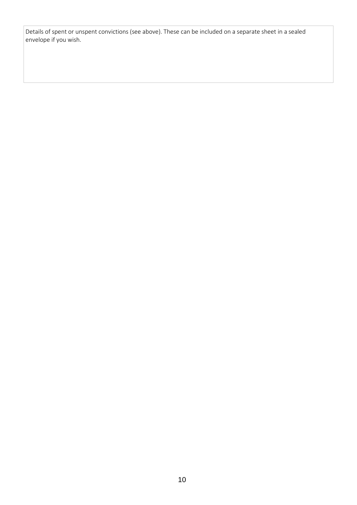Details of spent or unspent convictions (see above). These can be included on a separate sheet in a sealed envelope if you wish.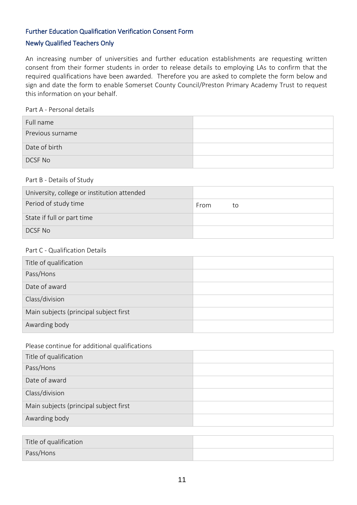# Further Education Qualification Verification Consent Form

#### Newly Qualified Teachers Only

An increasing number of universities and further education establishments are requesting written consent from their former students in order to release details to employing LAs to confirm that the required qualifications have been awarded. Therefore you are asked to complete the form below and sign and date the form to enable Somerset County Council/Preston Primary Academy Trust to request this information on your behalf.

#### Part A - Personal details

| Full name        |  |
|------------------|--|
| Previous surname |  |
| Date of birth    |  |
| DCSF No          |  |

#### Part B - Details of Study

| University, college or institution attended |      |    |
|---------------------------------------------|------|----|
| Period of study time                        | From | τo |
| State if full or part time                  |      |    |
| DCSE No                                     |      |    |

#### Part C - Qualification Details

| Title of qualification                 |  |
|----------------------------------------|--|
| Pass/Hons                              |  |
| Date of award                          |  |
| Class/division                         |  |
| Main subjects (principal subject first |  |
| Awarding body                          |  |

#### Please continue for additional qualifications

| Title of qualification                 |  |
|----------------------------------------|--|
| Pass/Hons                              |  |
| Date of award                          |  |
| Class/division                         |  |
| Main subjects (principal subject first |  |
| Awarding body                          |  |

| Title of qualification |  |
|------------------------|--|
| Pass/Hons              |  |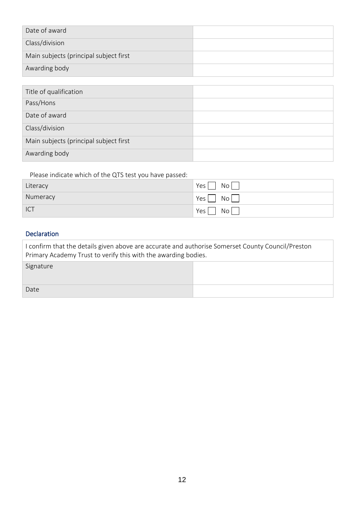| Date of award                          |  |
|----------------------------------------|--|
| Class/division                         |  |
| Main subjects (principal subject first |  |
| Awarding body                          |  |

| Title of qualification                 |  |
|----------------------------------------|--|
| Pass/Hons                              |  |
| Date of award                          |  |
| Class/division                         |  |
| Main subjects (principal subject first |  |
| Awarding body                          |  |

Please indicate which of the QTS test you have passed:

| Literacy | Yes<br><b>No</b>              |
|----------|-------------------------------|
| Numeracy | Yes <sub>1</sub><br>No        |
| ICT      | Yes <sub>1</sub><br><b>No</b> |

# Declaration

| I confirm that the details given above are accurate and authorise Somerset County Council/Preston<br>Primary Academy Trust to verify this with the awarding bodies. |  |  |  |  |
|---------------------------------------------------------------------------------------------------------------------------------------------------------------------|--|--|--|--|
| Signature                                                                                                                                                           |  |  |  |  |
| Date                                                                                                                                                                |  |  |  |  |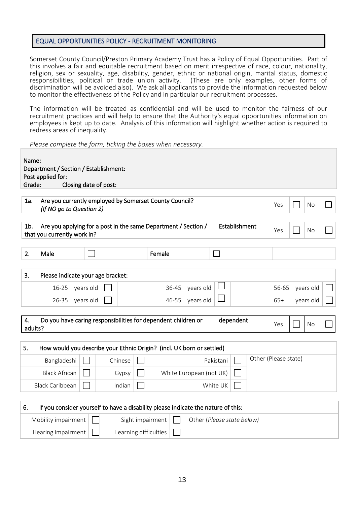#### EQUAL OPPORTUNITIES POLICY - RECRUITMENT MONITORING

Somerset County Council/Preston Primary Academy Trust has a Policy of Equal Opportunities. Part of this involves a fair and equitable recruitment based on merit irrespective of race, colour, nationality, religion, sex or sexuality, age, disability, gender, ethnic or national origin, marital status, domestic responsibilities, political or trade union activity. (These are only examples, other forms of discrimination will be avoided also). We ask all applicants to provide the information requested below to monitor the effectiveness of the Policy and in particular our recruitment processes.

The information will be treated as confidential and will be used to monitor the fairness of our recruitment practices and will help to ensure that the Authority's equal opportunities information on employees is kept up to date. Analysis of this information will highlight whether action is required to redress areas of inequality.

*Please complete the form, ticking the boxes when necessary.*

| Name:<br>Department / Section / Establishment:<br>Post applied for:<br>Grade:<br>Closing date of post: |                                                                                                    |  |         |                  |       |                            |           |               |                      |       |           |  |
|--------------------------------------------------------------------------------------------------------|----------------------------------------------------------------------------------------------------|--|---------|------------------|-------|----------------------------|-----------|---------------|----------------------|-------|-----------|--|
| 1a.                                                                                                    | Are you currently employed by Somerset County Council?<br>Yes<br>No<br>(If NO go to Question 2)    |  |         |                  |       |                            |           |               |                      |       |           |  |
| $1b$ .                                                                                                 | Are you applying for a post in the same Department / Section /<br>that you currently work in?      |  |         |                  |       |                            |           | Establishment |                      | Yes   | No        |  |
| 2.                                                                                                     | Male                                                                                               |  |         | Female           |       |                            | $\sim$    |               |                      |       |           |  |
| 3.                                                                                                     | Please indicate your age bracket:                                                                  |  |         |                  |       |                            |           |               |                      |       |           |  |
|                                                                                                        | 16-25 years old                                                                                    |  |         |                  | 36-45 | years old                  |           |               |                      | 56-65 | years old |  |
|                                                                                                        | 26-35 years old                                                                                    |  |         |                  |       | 46-55 years old            |           |               |                      | $65+$ | years old |  |
| 4.                                                                                                     | Do you have caring responsibilities for dependent children or<br>dependent<br>Yes<br>No<br>adults? |  |         |                  |       |                            |           |               |                      |       |           |  |
| 5.                                                                                                     | How would you describe your Ethnic Origin? (incl. UK born or settled)                              |  |         |                  |       |                            |           |               |                      |       |           |  |
|                                                                                                        | Bangladeshi                                                                                        |  | Chinese |                  |       |                            | Pakistani |               | Other (Please state) |       |           |  |
|                                                                                                        | <b>Black African</b>                                                                               |  | Gypsy   |                  |       | White European (not UK)    |           |               |                      |       |           |  |
|                                                                                                        | <b>Black Caribbean</b>                                                                             |  | Indian  |                  |       |                            | White UK  |               |                      |       |           |  |
| 6.<br>If you consider yourself to have a disability please indicate the nature of this:                |                                                                                                    |  |         |                  |       |                            |           |               |                      |       |           |  |
|                                                                                                        | Mobility impairment                                                                                |  |         | Sight impairment |       | Other (Please state below) |           |               |                      |       |           |  |